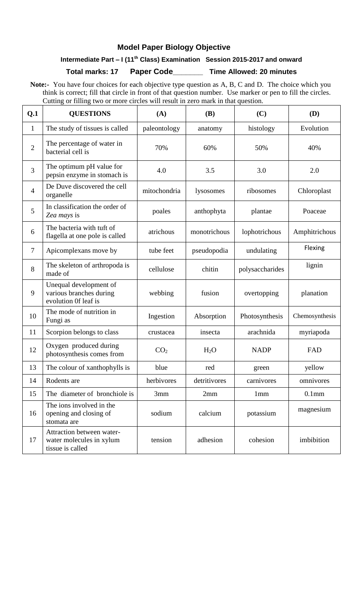## **Model Paper Biology Objective**

# **Intermediate Part – I (11th Class) Examination Session 2015-2017 and onward**

**Total marks: 17 Paper Code\_\_\_\_\_\_\_ Time Allowed: 20 minutes**

 **Note:-** You have four choices for each objective type question as A, B, C and D. The choice which you think is correct; fill that circle in front of that question number. Use marker or pen to fill the circles. Cutting or filling two or more circles will result in zero mark in that question.

| Q.1            | <b>QUESTIONS</b>                                                          | (A)             | <b>(B)</b>       | (C)             | (D)               |
|----------------|---------------------------------------------------------------------------|-----------------|------------------|-----------------|-------------------|
| $\mathbf{1}$   | The study of tissues is called                                            | paleontology    | anatomy          | histology       | Evolution         |
| $\overline{2}$ | The percentage of water in<br>bacterial cell is                           | 70%             | 60%              | 50%             | 40%               |
| 3              | The optimum pH value for<br>pepsin enzyme in stomach is                   | 4.0             | 3.5              | 3.0             | 2.0               |
| $\overline{4}$ | De Duve discovered the cell<br>organelle                                  | mitochondria    | lysosomes        | ribosomes       | Chloroplast       |
| 5              | In classification the order of<br>Zea mays is                             | poales          | anthophyta       | plantae         | Poaceae           |
| 6              | The bacteria with tuft of<br>flagella at one pole is called               | atrichous       | monotrichous     | lophotrichous   | Amphitrichous     |
| $\overline{7}$ | Apicomplexans move by                                                     | tube feet       | pseudopodia      | undulating      | Flexing           |
| 8              | The skeleton of arthropoda is<br>made of                                  | cellulose       | chitin           | polysaccharides | lignin            |
| 9              | Unequal development of<br>various branches during<br>evolution Of leaf is | webbing         | fusion           | overtopping     | planation         |
| 10             | The mode of nutrition in<br>Fungi as                                      | Ingestion       | Absorption       | Photosynthesis  | Chemosynthesis    |
| 11             | Scorpion belongs to class                                                 | crustacea       | insecta          | arachnida       | myriapoda         |
| 12             | Oxygen produced during<br>photosynthesis comes from                       | CO <sub>2</sub> | H <sub>2</sub> O | <b>NADP</b>     | FAD               |
| 13             | The colour of xanthophylls is                                             | blue            | red              | green           | yellow            |
| 14             | Rodents are                                                               | herbivores      | detritivores     | carnivores      | omnivores         |
| 15             | The diameter of bronchiole is                                             | 3mm             | 2mm              | 1mm             | 0.1 <sub>mm</sub> |
| 16             | The ions involved in the<br>opening and closing of<br>stomata are         | sodium          | calcium          | potassium       | magnesium         |
| 17             | Attraction between water-<br>water molecules in xylum<br>tissue is called | tension         | adhesion         | cohesion        | imbibition        |